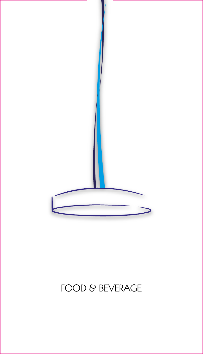# FOOD & BEVERAGE

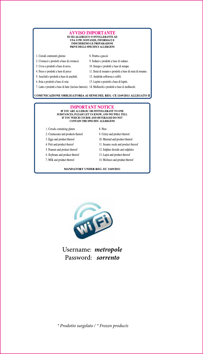#### AVVISO IMPORTANTE SE SEI ALLERGICO O INTOLLERANTE AD UNA O PIU SOSTANZE, INFORMACI E INDICHEREMO LE PREPARAZIONI PRIVE DEGLI SPECIFICI ALLERGENI

- 1. Cereali contenenti glutine
- 2. Crostacei e prodotti a base di crostacei.
- 3. Uova e prodotti a base di uova.
- 4. Pesce e prodotti a base di pesce
- 5. Arachidi e prodotti a base di arachidi.
- 6. Soia e prodotti a base di soia
- 10. Senape e prodotti a base di senape.

9. Sedano e prodotti a base di sedano.

- 11. Semi di sesamo e prodotti a base di semi di sesamo. 12. Anidride solforosa e solfiti
- 13. Lupini e prodotti a base di lupini.
- 7. Latte e prodotti a base di latte (incluso lattosio) 14. Molluschi e prodotti a base di molluschi.

8. Fruttta a guscio

#### COMUNICAZIONE OBBLIGATORIA AI SENSI DEL REG. CE 1169/2011 ALLEGATO II

#### **IMPORTANT NOTICE** IF YOU ARE ALLERGIC OR INNTOLLERANT TO ONE SUBSTANCES, PLEASE LET US KNOW, AND WE WILL TELL IF YOU WHICH COURSE AND BEVERAGES DO NOT **CONTAIN THE SPECIFIC ALLERGENS**

- 1. Cereals containing gluten
- 2. Crustaceans and products thereof
- 3. Eggs and product thereof
- 4. Fish and product thereof
- 5. Peanuts and product thereof
- 6. Soybeans and product thereof
- 7. Milk and product thereof
- 8. Nuts
- 9. Celery and product thereof.
- 10. Mustard and product thereof
- 11. Sesame seeds and product thereof
- 12. Sulphur dioxide and sulphites
- 13. Lupin and product thereof
- 14. Molluscs and product thereof

#### **MANDATORY UNDER REG. EC 1169/2011**



Username: metropole Password: sorrento

\* Prodotto surgelato / \* Frozen products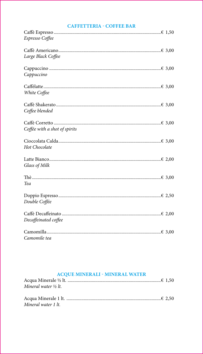#### **CAFFETTERIA - COFFEE BAR**

| Espresso Coffee               |
|-------------------------------|
|                               |
| Large Black Coffee            |
|                               |
| Cappuccino                    |
|                               |
| White Coffee                  |
|                               |
| Coffee blended                |
|                               |
| Coffée with a shot of spirits |
|                               |
| Hot Chocolate                 |
|                               |
| Glass of Milk                 |
|                               |
| Tea                           |
|                               |
| Double Coffée                 |
|                               |
| Decaffeinated coffee          |
|                               |
| Camomile tea                  |

### **ACQUE MINERALI - MINERAL WATER**

| Mineral water $\frac{1}{2}$ lt. |  |
|---------------------------------|--|
|                                 |  |
|                                 |  |
| Mineral water 1 lt.             |  |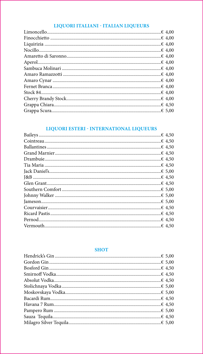### LIQUORI ITALIANI - ITALIAN LIQUEURS

# LIQUORI ESTERI - INTERNATIONAL LIQUEURS  $6450$

#### **SHOT**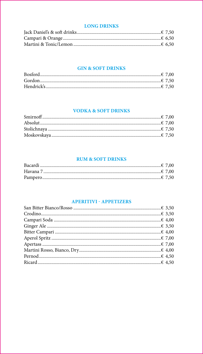#### **LONG DRINKS**

#### **GIN & SOFT DRINKS**

#### **VODKA & SOFT DRINKS**

#### **RUM & SOFT DRINKS**

#### **APERITIVI - APPETIZERS**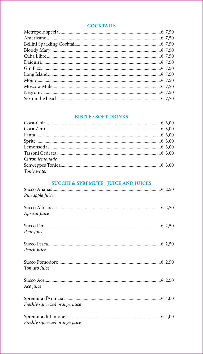#### **COCKTAILS**

#### **BIBITE - SOFT DRINKS**

| Citron lemonade |  |
|-----------------|--|
|                 |  |
| Tonic water     |  |

## **SUCCHI & SPREMUTE - JUICE AND JUICES**

| Pineapple Juice               |  |
|-------------------------------|--|
| Apricot Juice                 |  |
| Pear Juice                    |  |
| Peach Juice                   |  |
| Tomato Juice                  |  |
| Ace juice                     |  |
| Freshly squeezed orange juice |  |
| Freshly squeezed orange juice |  |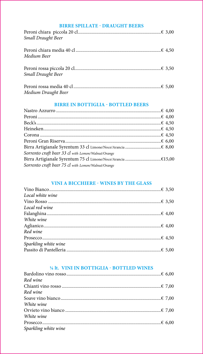#### **BIRRE SPILLATE - DRAUGHT BEERS**

| Small Draught Beer        |  |
|---------------------------|--|
| Medium Beer               |  |
| <b>Small Draught Beer</b> |  |
| Medium Draught Beer       |  |

#### **BIRRE IN BOTTIGLIA - BOTTLED BEERS**

| Sorrento craft beer 33 cl with Lemon/Walnut/Orange |  |
|----------------------------------------------------|--|
|                                                    |  |
| Sorrento craft beer 75 cl with Lemon/Walnut/Orange |  |

## VINI A BICCHIERE - WINES BY THE GLASS

| Local white wine     |  |
|----------------------|--|
|                      |  |
| Local red wine       |  |
|                      |  |
| White wine           |  |
|                      |  |
| Red wine             |  |
|                      |  |
| Sparkling white wine |  |
|                      |  |

# <sup>1/4</sup> lt. VINI IN BOTTIGLIA - BOTTLED WINES

| Red wine             |  |
|----------------------|--|
|                      |  |
| Red wine             |  |
|                      |  |
| White wine           |  |
|                      |  |
| White wine           |  |
|                      |  |
| Sparkling white wine |  |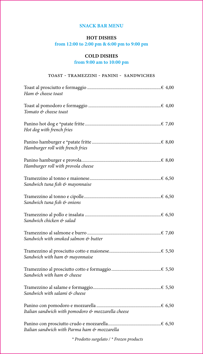#### **SNACK BAR MENU**

#### **HOT DISHES**

#### **from 12:00 to 2:00 pm & 6:00 pm to 9:00 pm**

#### **COLD DISHES**

#### **from 9:00 am to 10:00 pm**

#### toast - tramezzini - panini - sandwiches

| Ham & cheese toast                                 |
|----------------------------------------------------|
| Tomato & cheese toast                              |
| Hot dog with french fries                          |
| Hamburger roll with french fries                   |
| Hamburger roll with provola cheese                 |
| Sandwich tuna fish & mayonnaise                    |
| Sandwich tuna fish & onions                        |
| Sandwich chicken & salad                           |
| Sandwich with smoked salmon & butter               |
| Sandwich with ham & mayonnaise                     |
| Sandwich with ham & cheese                         |
| Sandwich with salami & cheese                      |
| Italian sandwich with pomodoro & mozzarella cheese |
| Italian sandwich with Parma ham & mozzarella       |

*\* Prodotto surgelato / \* Frozen products*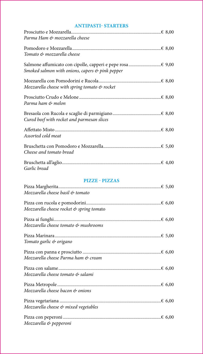#### **ANTIPASTI- STARTERS**

| Parma Ham & mozzarella cheese                              |  |
|------------------------------------------------------------|--|
| Tomato & mozzarella cheese                                 |  |
| Smoked salmon with onions, capers $\phi$ pink pepper       |  |
| Mozzarella cheese with spring tomato $\mathfrak{G}$ rocket |  |
| Parma ham & melon                                          |  |
| Cured beef with rocket and parmesan slices                 |  |
| Assorted cold meat                                         |  |
| Cheese and tomato bread                                    |  |
| Garlic bread                                               |  |
|                                                            |  |

# **PIZZE - PIZZAS**

| Mozzarella cheese basil & tomato         |
|------------------------------------------|
| Mozzarella cheese rocket & spring tomato |
| Mozzarella cheese tomato & mushrooms     |
| Tomato garlic & origano                  |
| Mozzarella cheese Parma ham & cream      |
| Mozzarella cheese tomato & salami        |
| Mozzarella cheese bacon & onions         |
| Mozzarella cheese & mixed vegetables     |
| Mozzarella & pepperoni                   |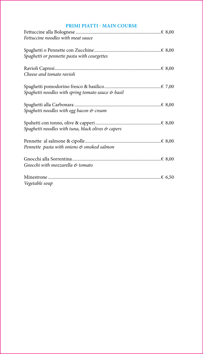#### **PRIMI PIATTI - MAIN COURSE**

| Fettuccine noodles with meat sauce                              |  |
|-----------------------------------------------------------------|--|
|                                                                 |  |
| Spaghetti or pennette pasta with courgettes                     |  |
|                                                                 |  |
| Cheese and tomato ravioli                                       |  |
|                                                                 |  |
| Spaghetti noodles with spring tomato sauce & basil              |  |
|                                                                 |  |
| Spaghetti noodles with egg bacon & cream                        |  |
|                                                                 |  |
| Spaghetti noodles with tuna, black olives $\mathfrak{G}$ capers |  |
|                                                                 |  |
| Pennette pasta with onions & smoked salmon                      |  |
|                                                                 |  |
| Gnocchi with mozzarella & tomato                                |  |
|                                                                 |  |
| Vegetable soup                                                  |  |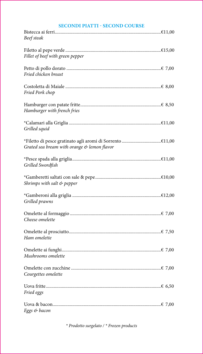#### **SECONDI PIATTI - SECOND COURSE**

| Beef steak                                                                                                     |
|----------------------------------------------------------------------------------------------------------------|
| Fillet of beef with green pepper                                                                               |
| Fried chicken breast                                                                                           |
| Fried Pork chop                                                                                                |
| Hamburger with french fries                                                                                    |
| Grilled squid                                                                                                  |
| Grated sea bream with orange & lemon flavor                                                                    |
| Grilled Swordfish                                                                                              |
| Shrimps with salt & pepper                                                                                     |
| Grilled prawns                                                                                                 |
| Cheese omelette van die verslag van die verslag van die verslag van die verslag van die van die verslag van di |
| Ham omelette                                                                                                   |
| Mushrooms omelette                                                                                             |
| Courgettes omelette                                                                                            |
| Fried eggs                                                                                                     |
|                                                                                                                |

\* Prodotto surgelato / \* Frozen products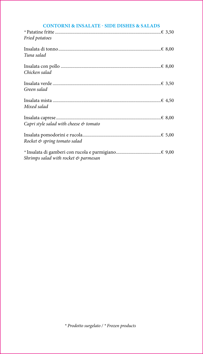| Fried potatoes                                      |  |
|-----------------------------------------------------|--|
| Tuna salad                                          |  |
| Chicken salad                                       |  |
| Green salad                                         |  |
| Mixed salad                                         |  |
| Capri style salad with cheese $\mathfrak{G}$ tomato |  |
| Rocket & spring tomato salad                        |  |
| Shrimps salad with rocket $\mathfrak{G}$ parmesan   |  |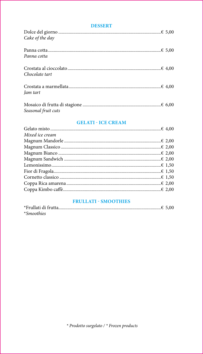#### **DESSERT**

| Cake of the day     |  |
|---------------------|--|
| Panna cotta         |  |
| Chocolate tart      |  |
| Jam tart            |  |
| Seasonal fruit cuts |  |

#### **GELATI - ICE CREAM**

| Mixed ice cream |  |
|-----------------|--|
|                 |  |
|                 |  |
|                 |  |
|                 |  |
|                 |  |
|                 |  |
|                 |  |
|                 |  |
|                 |  |
|                 |  |

#### **FRULLATI - SMOOTHIES**

| <i>*Smoothies</i> |  |
|-------------------|--|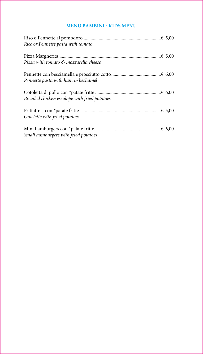### **MENU BAMBINI - KIDS MENU**

| Rice or Pennette pasta with tomato           |  |
|----------------------------------------------|--|
|                                              |  |
|                                              |  |
| Pizza with tomato & mozzarella cheese        |  |
|                                              |  |
| Pennette pasta with ham & bechamel           |  |
|                                              |  |
|                                              |  |
| Breaded chicken escalope with fried potatoes |  |
|                                              |  |
|                                              |  |
| Omelette with fried potatoes                 |  |
|                                              |  |
|                                              |  |
| Small hamburgers with fried potatoes         |  |